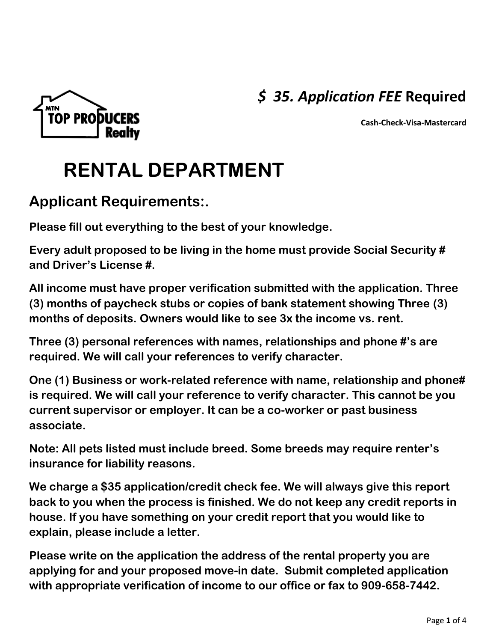## *\$ 35. Application FEE* **Required**





# **RENTAL DEPARTMENT**

### **Applicant Requirements:.**

**Please fill out everything to the best of your knowledge.**

**Every adult proposed to be living in the home must provide Social Security # and Driver's License #.**

**All income must have proper verification submitted with the application. Three (3) months of paycheck stubs or copies of bank statement showing Three (3) months of deposits. Owners would like to see 3x the income vs. rent.**

**Three (3) personal references with names, relationships and phone #'s are required. We will call your references to verify character.** 

**One (1) Business or work-related reference with name, relationship and phone# is required. We will call your reference to verify character. This cannot be you current supervisor or employer. It can be a co-worker or past business associate.**

**Note: All pets listed must include breed. Some breeds may require renter's insurance for liability reasons.**

**We charge a \$35 application/credit check fee. We will always give this report back to you when the process is finished. We do not keep any credit reports in house. If you have something on your credit report that you would like to explain, please include a letter.** 

**Please write on the application the address of the rental property you are applying for and your proposed move-in date. Submit completed application with appropriate verification of income to our office or fax to 909-658-7442.**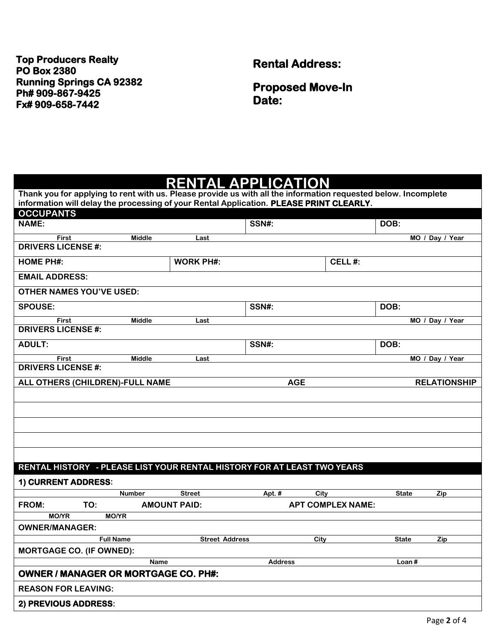### **Top Producers Realty PO Box 2380 Running Springs CA 92382 Ph# 909-867-9425 Fx# 909-658-7442**

**Rental Address:** 

**Proposed Move-In Date:**

#### **RENTAL APPLICATION Thank you for applying to rent with us. Please provide us with all the information requested below. Incomplete**

| Thank you for applying to rent with us. Please provide us with all the information requested below. Incomplete<br>information will delay the processing of your Rental Application. PLEASE PRINT CLEARLY. |               |                       |                |                          |              |                     |
|-----------------------------------------------------------------------------------------------------------------------------------------------------------------------------------------------------------|---------------|-----------------------|----------------|--------------------------|--------------|---------------------|
| <b>OCCUPANTS</b>                                                                                                                                                                                          |               |                       |                |                          |              |                     |
| <b>NAME:</b>                                                                                                                                                                                              |               |                       | SSN#:          |                          | DOB:         |                     |
| <b>First</b>                                                                                                                                                                                              | <b>Middle</b> | Last                  |                |                          |              | MO / Day / Year     |
| <b>DRIVERS LICENSE #:</b>                                                                                                                                                                                 |               |                       |                |                          |              |                     |
| <b>HOME PH#:</b>                                                                                                                                                                                          |               | <b>WORK PH#:</b>      |                | CELL#:                   |              |                     |
| <b>EMAIL ADDRESS:</b>                                                                                                                                                                                     |               |                       |                |                          |              |                     |
| <b>OTHER NAMES YOU'VE USED:</b>                                                                                                                                                                           |               |                       |                |                          |              |                     |
| <b>SPOUSE:</b>                                                                                                                                                                                            |               |                       | SSN#:          |                          | DOB:         |                     |
| First                                                                                                                                                                                                     | <b>Middle</b> | Last                  |                |                          |              | MO / Day / Year     |
| <b>DRIVERS LICENSE#:</b>                                                                                                                                                                                  |               |                       |                |                          |              |                     |
| <b>ADULT:</b>                                                                                                                                                                                             |               |                       | SSN#:          |                          | DOB:         |                     |
| <b>First</b>                                                                                                                                                                                              | <b>Middle</b> | Last                  |                |                          |              | MO / Day / Year     |
| <b>DRIVERS LICENSE#:</b>                                                                                                                                                                                  |               |                       |                |                          |              |                     |
| ALL OTHERS (CHILDREN)-FULL NAME                                                                                                                                                                           |               |                       |                | <b>AGE</b>               |              | <b>RELATIONSHIP</b> |
|                                                                                                                                                                                                           |               |                       |                |                          |              |                     |
|                                                                                                                                                                                                           |               |                       |                |                          |              |                     |
|                                                                                                                                                                                                           |               |                       |                |                          |              |                     |
|                                                                                                                                                                                                           |               |                       |                |                          |              |                     |
|                                                                                                                                                                                                           |               |                       |                |                          |              |                     |
|                                                                                                                                                                                                           |               |                       |                |                          |              |                     |
| RENTAL HISTORY - PLEASE LIST YOUR RENTAL HISTORY FOR AT LEAST TWO YEARS                                                                                                                                   |               |                       |                |                          |              |                     |
| 1) CURRENT ADDRESS:                                                                                                                                                                                       |               |                       |                |                          |              |                     |
|                                                                                                                                                                                                           | <b>Number</b> | <b>Street</b>         | Apt. #         | City                     | <b>State</b> | Zip                 |
| FROM:<br>TO:                                                                                                                                                                                              |               | <b>AMOUNT PAID:</b>   |                | <b>APT COMPLEX NAME:</b> |              |                     |
| <b>MO/YR</b><br><b>MO/YR</b>                                                                                                                                                                              |               |                       |                |                          |              |                     |
| <b>OWNER/MANAGER:</b>                                                                                                                                                                                     |               |                       |                |                          |              |                     |
| <b>Full Name</b>                                                                                                                                                                                          |               | <b>Street Address</b> |                | City                     | <b>State</b> | Zip                 |
| <b>MORTGAGE CO. (IF OWNED):</b>                                                                                                                                                                           |               |                       |                |                          |              |                     |
|                                                                                                                                                                                                           | <b>Name</b>   |                       | <b>Address</b> |                          | Loan#        |                     |
| <b>OWNER / MANAGER OR MORTGAGE CO. PH#:</b>                                                                                                                                                               |               |                       |                |                          |              |                     |
| <b>REASON FOR LEAVING:</b>                                                                                                                                                                                |               |                       |                |                          |              |                     |
| 2) PREVIOUS ADDRESS:                                                                                                                                                                                      |               |                       |                |                          |              |                     |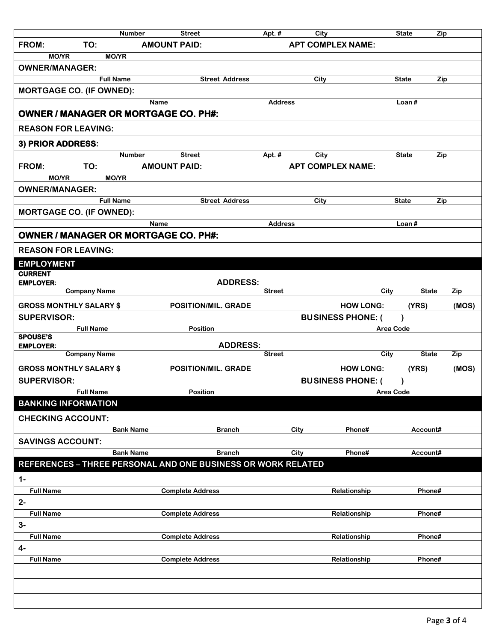|                                             | <b>Number</b>       |                     | <b>Street</b>                                                | Apt. #         | City |                          | <b>State</b>     | Zip    |       |
|---------------------------------------------|---------------------|---------------------|--------------------------------------------------------------|----------------|------|--------------------------|------------------|--------|-------|
| FROM:                                       | TO:                 | <b>AMOUNT PAID:</b> |                                                              |                |      | <b>APT COMPLEX NAME:</b> |                  |        |       |
| <b>MO/YR</b>                                | <b>MO/YR</b>        |                     |                                                              |                |      |                          |                  |        |       |
| <b>OWNER/MANAGER:</b>                       |                     |                     |                                                              |                |      |                          |                  |        |       |
|                                             | <b>Full Name</b>    |                     | <b>Street Address</b>                                        |                | City |                          | <b>State</b>     | Zip    |       |
| <b>MORTGAGE CO. (IF OWNED):</b>             |                     |                     |                                                              |                |      |                          |                  |        |       |
|                                             |                     | <b>Name</b>         |                                                              | <b>Address</b> |      |                          | Loan#            |        |       |
| <b>OWNER / MANAGER OR MORTGAGE CO. PH#:</b> |                     |                     |                                                              |                |      |                          |                  |        |       |
| <b>REASON FOR LEAVING:</b>                  |                     |                     |                                                              |                |      |                          |                  |        |       |
| 3) PRIOR ADDRESS:                           |                     |                     |                                                              |                |      |                          |                  |        |       |
|                                             | <b>Number</b>       |                     | <b>Street</b>                                                | Apt. #         | City |                          | <b>State</b>     | Zip    |       |
| FROM:                                       | TO:                 | <b>AMOUNT PAID:</b> |                                                              |                |      | <b>APT COMPLEX NAME:</b> |                  |        |       |
| <b>MO/YR</b>                                | <b>MO/YR</b>        |                     |                                                              |                |      |                          |                  |        |       |
| <b>OWNER/MANAGER:</b>                       |                     |                     |                                                              |                |      |                          |                  |        |       |
|                                             |                     |                     |                                                              |                |      |                          |                  |        |       |
|                                             | <b>Full Name</b>    |                     | <b>Street Address</b>                                        |                | City |                          | <b>State</b>     | Zip    |       |
| <b>MORTGAGE CO. (IF OWNED):</b>             |                     |                     |                                                              |                |      |                          |                  |        |       |
|                                             |                     | <b>Name</b>         |                                                              | <b>Address</b> |      |                          | Loan $#$         |        |       |
| <b>OWNER / MANAGER OR MORTGAGE CO. PH#:</b> |                     |                     |                                                              |                |      |                          |                  |        |       |
| <b>REASON FOR LEAVING:</b>                  |                     |                     |                                                              |                |      |                          |                  |        |       |
| <b>EMPLOYMENT</b>                           |                     |                     |                                                              |                |      |                          |                  |        |       |
| <b>CURRENT</b>                              |                     |                     |                                                              |                |      |                          |                  |        |       |
| <b>EMPLOYER:</b>                            |                     |                     | <b>ADDRESS:</b>                                              |                |      |                          |                  |        |       |
|                                             | <b>Company Name</b> |                     |                                                              | <b>Street</b>  |      | City                     | <b>State</b>     |        | Zip   |
| <b>GROSS MONTHLY SALARY \$</b>              |                     |                     | POSITION/MIL. GRADE                                          |                |      | <b>HOW LONG:</b>         | (YRS)            |        | (MOS) |
| <b>SUPERVISOR:</b>                          |                     |                     |                                                              |                |      | <b>BUSINESS PHONE: (</b> |                  |        |       |
|                                             | <b>Full Name</b>    |                     | Position                                                     |                |      |                          | <b>Area Code</b> |        |       |
| <b>SPOUSE'S</b>                             |                     |                     |                                                              |                |      |                          |                  |        |       |
| <b>EMPLOYER:</b>                            | <b>Company Name</b> |                     | <b>ADDRESS:</b>                                              | <b>Street</b>  |      | City                     | <b>State</b>     |        | Zip   |
|                                             |                     |                     |                                                              |                |      |                          |                  |        |       |
| <b>GROSS MONTHLY SALARY \$</b>              |                     |                     | POSITION/MIL. GRADE                                          |                |      | <b>HOW LONG:</b>         | (YRS)            |        | (MOS) |
| <b>SUPERVISOR:</b>                          |                     |                     |                                                              |                |      | <b>BUSINESS PHONE: (</b> |                  |        |       |
|                                             | <b>Full Name</b>    |                     | <b>Position</b>                                              |                |      |                          | Area Code        |        |       |
| <b>BANKING INFORMATION</b>                  |                     |                     |                                                              |                |      |                          |                  |        |       |
| <b>CHECKING ACCOUNT:</b>                    |                     |                     |                                                              |                |      |                          |                  |        |       |
|                                             | <b>Bank Name</b>    |                     | <b>Branch</b>                                                |                | City | Phone#                   | Account#         |        |       |
| <b>SAVINGS ACCOUNT:</b>                     |                     |                     |                                                              |                |      |                          |                  |        |       |
|                                             | <b>Bank Name</b>    |                     | <b>Branch</b>                                                |                | City | Phone#                   | Account#         |        |       |
|                                             |                     |                     | REFERENCES - THREE PERSONAL AND ONE BUSINESS OR WORK RELATED |                |      |                          |                  |        |       |
|                                             |                     |                     |                                                              |                |      |                          |                  |        |       |
| $1 -$                                       |                     |                     |                                                              |                |      |                          |                  |        |       |
| <b>Full Name</b>                            |                     |                     | <b>Complete Address</b>                                      |                |      | Relationship             |                  | Phone# |       |
| $2-$                                        |                     |                     |                                                              |                |      |                          |                  |        |       |
| <b>Full Name</b>                            |                     |                     | <b>Complete Address</b>                                      |                |      | Relationship             |                  | Phone# |       |
| $3-$                                        |                     |                     |                                                              |                |      |                          |                  |        |       |
| <b>Full Name</b>                            |                     |                     | <b>Complete Address</b>                                      |                |      | Relationship             |                  | Phone# |       |
| $4-$                                        |                     |                     |                                                              |                |      |                          |                  |        |       |
| <b>Full Name</b>                            |                     |                     | <b>Complete Address</b>                                      |                |      | Relationship             |                  | Phone# |       |
|                                             |                     |                     |                                                              |                |      |                          |                  |        |       |
|                                             |                     |                     |                                                              |                |      |                          |                  |        |       |
|                                             |                     |                     |                                                              |                |      |                          |                  |        |       |
|                                             |                     |                     |                                                              |                |      |                          |                  |        |       |